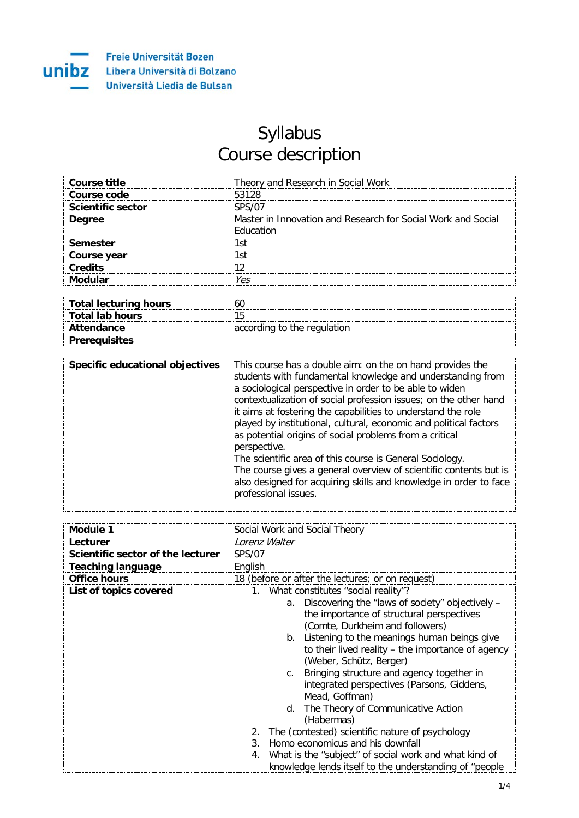

## Syllabus Course description

| Course title             | Theory and Research in Social Work                                       |
|--------------------------|--------------------------------------------------------------------------|
| Course code              | 53128                                                                    |
| <b>Scientific sector</b> |                                                                          |
| <b>Degree</b>            | Master in Innovation and Research for Social Work and Social<br>ducation |
| Semester                 | .st                                                                      |
| Course year              | .st                                                                      |
| Credits                  |                                                                          |
|                          | Υρς                                                                      |

| Total lecturing hours |                             |
|-----------------------|-----------------------------|
| Total lab hours       |                             |
| Attendance            | according to the regulation |
| <b>Prerequisites</b>  |                             |

| Specific educational objectives | This course has a double aim: on the on hand provides the<br>students with fundamental knowledge and understanding from<br>a sociological perspective in order to be able to widen<br>contextualization of social profession issues; on the other hand<br>it aims at fostering the capabilities to understand the role<br>played by institutional, cultural, economic and political factors<br>as potential origins of social problems from a critical<br>perspective.<br>The scientific area of this course is General Sociology.<br>The course gives a general overview of scientific contents but is<br>also designed for acquiring skills and knowledge in order to face |
|---------------------------------|------------------------------------------------------------------------------------------------------------------------------------------------------------------------------------------------------------------------------------------------------------------------------------------------------------------------------------------------------------------------------------------------------------------------------------------------------------------------------------------------------------------------------------------------------------------------------------------------------------------------------------------------------------------------------|
|                                 | professional issues.                                                                                                                                                                                                                                                                                                                                                                                                                                                                                                                                                                                                                                                         |

| Module 1                          | Social Work and Social Theory                                                                                                                                                                                                                                                                                                                                                                                                                                 |
|-----------------------------------|---------------------------------------------------------------------------------------------------------------------------------------------------------------------------------------------------------------------------------------------------------------------------------------------------------------------------------------------------------------------------------------------------------------------------------------------------------------|
| Lecturer                          | Lorenz Walter                                                                                                                                                                                                                                                                                                                                                                                                                                                 |
| Scientific sector of the lecturer | <b>SPS/07</b>                                                                                                                                                                                                                                                                                                                                                                                                                                                 |
| <b>Teaching language</b>          | English                                                                                                                                                                                                                                                                                                                                                                                                                                                       |
| <b>Office hours</b>               | 18 (before or after the lectures; or on request)                                                                                                                                                                                                                                                                                                                                                                                                              |
| List of topics covered            | 1. What constitutes "social reality"?                                                                                                                                                                                                                                                                                                                                                                                                                         |
|                                   | a. Discovering the "laws of society" objectively -<br>the importance of structural perspectives<br>(Comte, Durkheim and followers)<br>Listening to the meanings human beings give<br>b.<br>to their lived reality – the importance of agency<br>(Weber, Schütz, Berger)<br>Bringing structure and agency together in<br>C <sub>1</sub><br>integrated perspectives (Parsons, Giddens,<br>Mead, Goffman)<br>d. The Theory of Communicative Action<br>(Habermas) |
|                                   | The (contested) scientific nature of psychology<br>2.                                                                                                                                                                                                                                                                                                                                                                                                         |
|                                   | Homo economicus and his downfall<br>$\mathcal{S}$                                                                                                                                                                                                                                                                                                                                                                                                             |
|                                   | What is the "subject" of social work and what kind of<br>4.                                                                                                                                                                                                                                                                                                                                                                                                   |
|                                   | knowledge lends itself to the understanding of "people                                                                                                                                                                                                                                                                                                                                                                                                        |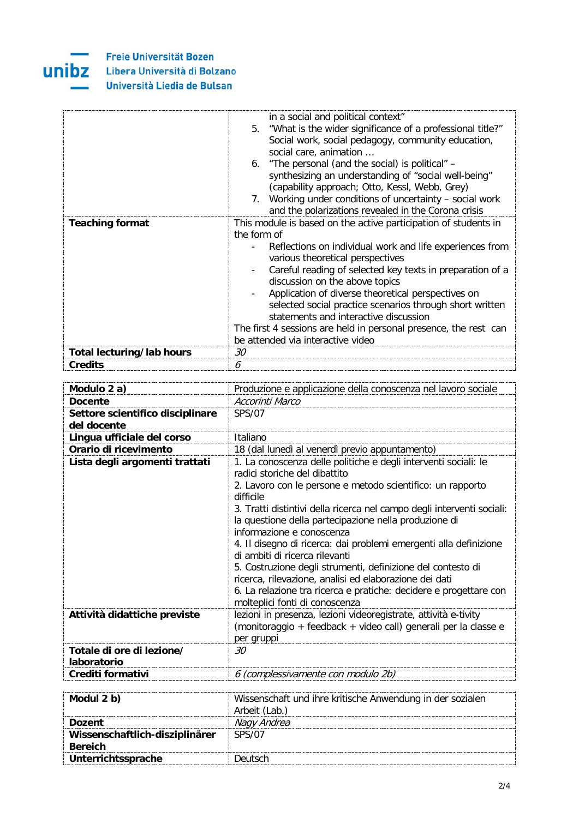

**Freie Universität Bozen UNIDZ** Libera Università di Bolzano Università Liedia de Bulsan

|                           | in a social and political context"<br>5. "What is the wider significance of a professional title?"<br>Social work, social pedagogy, community education,<br>social care, animation<br>6. "The personal (and the social) is political" –<br>synthesizing an understanding of "social well-being"<br>(capability approach; Otto, Kessl, Webb, Grey)<br>7. Working under conditions of uncertainty – social work<br>and the polarizations revealed in the Corona crisis           |
|---------------------------|--------------------------------------------------------------------------------------------------------------------------------------------------------------------------------------------------------------------------------------------------------------------------------------------------------------------------------------------------------------------------------------------------------------------------------------------------------------------------------|
| <b>Teaching format</b>    | This module is based on the active participation of students in                                                                                                                                                                                                                                                                                                                                                                                                                |
|                           | the form of<br>Reflections on individual work and life experiences from<br>various theoretical perspectives<br>Careful reading of selected key texts in preparation of a<br>discussion on the above topics<br>Application of diverse theoretical perspectives on<br>selected social practice scenarios through short written<br>statements and interactive discussion<br>The first 4 sessions are held in personal presence, the rest can<br>be attended via interactive video |
| Total lecturing/lab hours | 30                                                                                                                                                                                                                                                                                                                                                                                                                                                                             |
| <b>Credits</b>            | 6                                                                                                                                                                                                                                                                                                                                                                                                                                                                              |

| Modulo 2 a)                                                                                                                | Produzione e applicazione della conoscenza nel lavoro sociale                                                                                                                                                                                                                                                                                                                                             |
|----------------------------------------------------------------------------------------------------------------------------|-----------------------------------------------------------------------------------------------------------------------------------------------------------------------------------------------------------------------------------------------------------------------------------------------------------------------------------------------------------------------------------------------------------|
| <b>Docente</b>                                                                                                             | Accorinti Marco                                                                                                                                                                                                                                                                                                                                                                                           |
| Settore scientifico disciplinare                                                                                           | SPS/07                                                                                                                                                                                                                                                                                                                                                                                                    |
|                                                                                                                            |                                                                                                                                                                                                                                                                                                                                                                                                           |
|                                                                                                                            |                                                                                                                                                                                                                                                                                                                                                                                                           |
|                                                                                                                            |                                                                                                                                                                                                                                                                                                                                                                                                           |
|                                                                                                                            | radici storiche del dibattito                                                                                                                                                                                                                                                                                                                                                                             |
|                                                                                                                            | 2. Lavoro con le persone e metodo scientifico: un rapporto<br>difficile                                                                                                                                                                                                                                                                                                                                   |
|                                                                                                                            | 3. Tratti distintivi della ricerca nel campo degli interventi sociali:                                                                                                                                                                                                                                                                                                                                    |
|                                                                                                                            | informazione e conoscenza                                                                                                                                                                                                                                                                                                                                                                                 |
|                                                                                                                            | 4. Il disegno di ricerca: dai problemi emergenti alla definizione<br>di ambiti di ricerca rilevanti                                                                                                                                                                                                                                                                                                       |
|                                                                                                                            | 5. Costruzione degli strumenti, definizione del contesto di                                                                                                                                                                                                                                                                                                                                               |
|                                                                                                                            | 6. La relazione tra ricerca e pratiche: decidere e progettare con                                                                                                                                                                                                                                                                                                                                         |
| Attività didattiche previste                                                                                               | lezioni in presenza, lezioni videoregistrate, attività e-tivity                                                                                                                                                                                                                                                                                                                                           |
|                                                                                                                            |                                                                                                                                                                                                                                                                                                                                                                                                           |
|                                                                                                                            |                                                                                                                                                                                                                                                                                                                                                                                                           |
| Totale di ore di lezione/                                                                                                  | 30                                                                                                                                                                                                                                                                                                                                                                                                        |
| Crediti formativi                                                                                                          |                                                                                                                                                                                                                                                                                                                                                                                                           |
| del docente<br>Lingua ufficiale del corso<br>Orario di ricevimento<br>Lista degli argomenti trattati<br><b>laboratorio</b> | Italiano<br>18 (dal lunedì al venerdì previo appuntamento)<br>1. La conoscenza delle politiche e degli interventi sociali: le<br>la questione della partecipazione nella produzione di<br>ricerca, rilevazione, analisi ed elaborazione dei dati<br>molteplici fonti di conoscenza<br>(monitoraggio + feedback + video call) generali per la classe e<br>per gruppi<br>6 (complessivamente con modulo 2b) |

| Modul 2 b)                     | Wissenschaft und ihre kritische Anwendung in der sozialen<br>Arbeit (Lab.) |
|--------------------------------|----------------------------------------------------------------------------|
| Dozent                         | Nagy Andrea                                                                |
| Wissenschaftlich-disziplinärer | <b>SPS/07</b>                                                              |
| <b>Bereich</b>                 |                                                                            |
| <b>Unterrichtssprache</b>      | Deutsch                                                                    |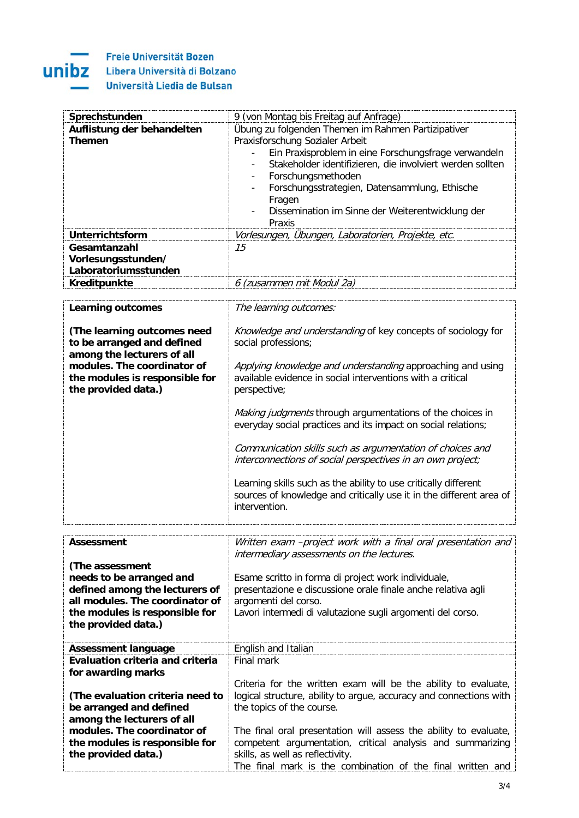

Freie Universität Bozen Libera Università di Bolzano Università Liedia de Bulsan

| Sprechstunden                           | 9 (von Montag bis Freitag auf Anfrage)                              |
|-----------------------------------------|---------------------------------------------------------------------|
| Auflistung der behandelten              | Übung zu folgenden Themen im Rahmen Partizipativer                  |
| <b>Themen</b>                           | Praxisforschung Sozialer Arbeit                                     |
|                                         | Ein Praxisproblem in eine Forschungsfrage verwandeln                |
|                                         | Stakeholder identifizieren, die involviert werden sollten           |
|                                         | Forschungsmethoden<br>$\overline{\phantom{a}}$                      |
|                                         | Forschungsstrategien, Datensammlung, Ethische                       |
|                                         | Fragen                                                              |
|                                         | Dissemination im Sinne der Weiterentwicklung der                    |
|                                         | Praxis                                                              |
| Unterrichtsform                         | Vorlesungen, Übungen, Laboratorien, Projekte, etc.                  |
| Gesamtanzahl                            | 15                                                                  |
| Vorlesungsstunden/                      |                                                                     |
| Laboratoriumsstunden                    |                                                                     |
| Kreditpunkte                            | 6 (zusammen mit Modul 2a)                                           |
|                                         |                                                                     |
| <b>Learning outcomes</b>                | The learning outcomes:                                              |
|                                         |                                                                     |
| (The learning outcomes need             | Knowledge and understanding of key concepts of sociology for        |
| to be arranged and defined              | social professions;                                                 |
| among the lecturers of all              |                                                                     |
| modules. The coordinator of             | Applying knowledge and understanding approaching and using          |
| the modules is responsible for          | available evidence in social interventions with a critical          |
| the provided data.)                     | perspective;                                                        |
|                                         |                                                                     |
|                                         | Making judgments through argumentations of the choices in           |
|                                         | everyday social practices and its impact on social relations;       |
|                                         |                                                                     |
|                                         | Communication skills such as argumentation of choices and           |
|                                         | interconnections of social perspectives in an own project;          |
|                                         |                                                                     |
|                                         | Learning skills such as the ability to use critically different     |
|                                         | sources of knowledge and critically use it in the different area of |
|                                         | intervention.                                                       |
|                                         |                                                                     |
|                                         | Written exam -project work with a final oral presentation and       |
| <b>Assessment</b>                       | intermediary assessments on the lectures.                           |
| (The assessment                         |                                                                     |
| needs to be arranged and                | Esame scritto in forma di project work individuale,                 |
| defined among the lecturers of          | presentazione e discussione orale finale anche relativa agli        |
| all modules. The coordinator of         | argomenti del corso.                                                |
| the modules is responsible for          | Lavori intermedi di valutazione sugli argomenti del corso.          |
| the provided data.)                     |                                                                     |
|                                         |                                                                     |
| <b>Assessment language</b>              | English and Italian                                                 |
| <b>Evaluation criteria and criteria</b> | Final mark                                                          |
| for awarding marks                      |                                                                     |
|                                         | Criteria for the written exam will be the ability to evaluate,      |
| (The evaluation criteria need to        | logical structure, ability to argue, accuracy and connections with  |
| be arranged and defined                 | the topics of the course.                                           |
| among the lecturers of all              |                                                                     |
| modules. The coordinator of             | The final oral presentation will assess the ability to evaluate,    |
| the modules is responsible for          | competent argumentation, critical analysis and summarizing          |
| the provided data.)                     | skills, as well as reflectivity.                                    |
|                                         | The final mark is the combination of the final written and          |